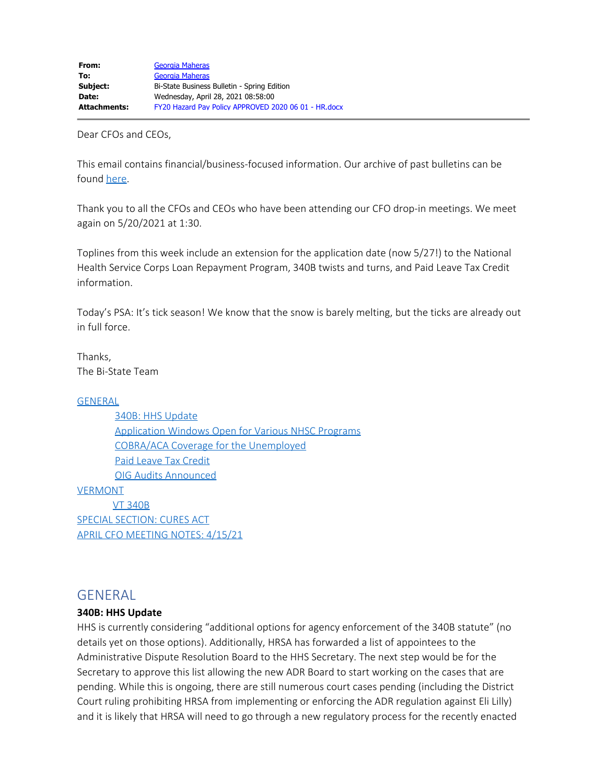Dear CFOs and CEOs,

This email contains financial/business-focused information. Our archive of past bulletins can be found [here](https://bistatepca.org/health-center-resources/covid-bulletins-resources/bi-state-covid-19-bulletins).

Thank you to all the CFOs and CEOs who have been attending our CFO drop-in meetings. We meet again on 5/20/2021 at 1:30.

Toplines from this week include an extension for the application date (now 5/27!) to the National Health Service Corps Loan Repayment Program, 340B twists and turns, and Paid Leave Tax Credit information.

Today's PSA: It's tick season! We know that the snow is barely melting, but the ticks are already out in full force.

Thanks, The Bi-State Team

### **[GENERAL](#page-0-0)**

 [340B: HHS Update](#page-0-1) [Application Windows Open for Various NHSC Programs](#page-1-0) [COBRA/ACA Coverage for the Unemployed](#page-1-1) [Paid Leave Tax Credit](#page-2-0) [OIG Audits Announced](#page-2-1) **[VERMONT](#page-2-2)** [VT 340B](#page-2-3) [SPECIAL SECTION: CURES ACT](#page-2-4) [APRIL CFO MEETING NOTES: 4/15/21](#page-4-0)

# <span id="page-0-0"></span>GENERAL

### <span id="page-0-1"></span>**340B: HHS Update**

HHS is currently considering "additional options for agency enforcement of the 340B statute" (no details yet on those options). Additionally, HRSA has forwarded a list of appointees to the Administrative Dispute Resolution Board to the HHS Secretary. The next step would be for the Secretary to approve this list allowing the new ADR Board to start working on the cases that are pending. While this is ongoing, there are still numerous court cases pending (including the District Court ruling prohibiting HRSA from implementing or enforcing the ADR regulation against Eli Lilly) and it is likely that HRSA will need to go through a new regulatory process for the recently enacted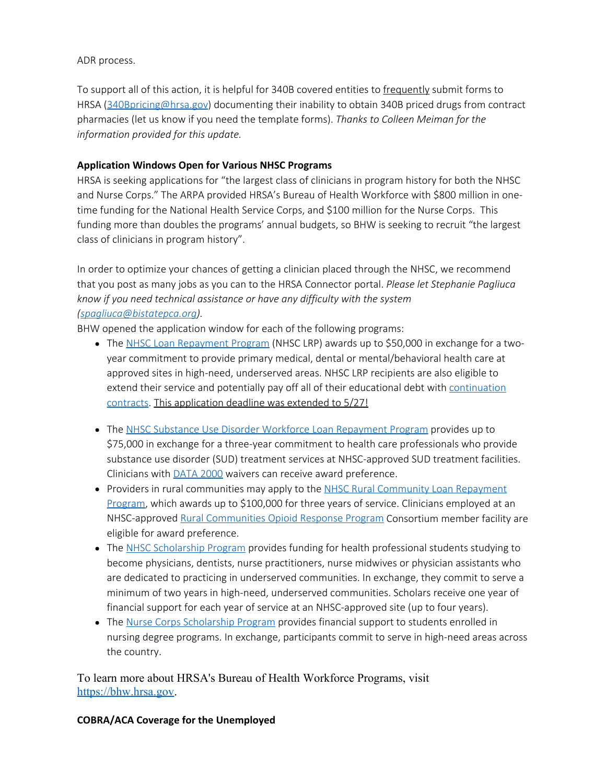ADR process.

To support all of this action, it is helpful for 340B covered entities to frequently submit forms to HRSA [\(340Bpricing@hrsa.gov](mailto:340Bpricing@hrsa.gov)) documenting their inability to obtain 340B priced drugs from contract pharmacies (let us know if you need the template forms). *Thanks to Colleen Meiman for the information provided for this update.*

# <span id="page-1-0"></span>**Application Windows Open for Various NHSC Programs**

HRSA is seeking applications for "the largest class of clinicians in program history for both the NHSC and Nurse Corps." The ARPA provided HRSA's Bureau of Health Workforce with \$800 million in onetime funding for the National Health Service Corps, and \$100 million for the Nurse Corps. This funding more than doubles the programs' annual budgets, so BHW is seeking to recruit "the largest class of clinicians in program history".

In order to optimize your chances of getting a clinician placed through the NHSC, we recommend that you post as many jobs as you can to the HRSA Connector portal. *Please let Stephanie Pagliuca know if you need technical assistance or have any difficulty with the system [\(spagliuca@bistatepca.org](mailto:spagliuca@bistatepca.org)).*

BHW opened the application window for each of the following programs:

- The [NHSC Loan Repayment Program](https://lnks.gd/l/eyJhbGciOiJIUzI1NiJ9.eyJidWxsZXRpbl9saW5rX2lkIjoxMDUsInVyaSI6ImJwMjpjbGljayIsImJ1bGxldGluX2lkIjoiMjAyMTAzMjYuMzc3NjM5NTEiLCJ1cmwiOiJodHRwczovL25oc2MuaHJzYS5nb3YvbG9hbi1yZXBheW1lbnQvbmhzYy1sb2FuLXJlcGF5bWVudC1wcm9ncmFtLmh0bWwifQ.nlohezOYJH25DnYg0qwxnktHR_TV-WJPjbgbG4ch6Fc/s/1418392526/br/100714607518-l) (NHSC LRP) awards up to \$50,000 in exchange for a twoyear commitment to provide primary medical, dental or mental/behavioral health care at approved sites in high-need, underserved areas. NHSC LRP recipients are also eligible to extend their service and potentially pay off all of their educational debt with [continuation](https://lnks.gd/l/eyJhbGciOiJIUzI1NiJ9.eyJidWxsZXRpbl9saW5rX2lkIjoxMDYsInVyaSI6ImJwMjpjbGljayIsImJ1bGxldGluX2lkIjoiMjAyMTAzMjYuMzc3NjM5NTEiLCJ1cmwiOiJodHRwczovL25oc2MuaHJzYS5nb3YvbG9hbi1yZXBheW1lbnQvY29udGludWF0aW9uLWNvbnRyYWN0Lmh0bWwifQ.ETRtpV90NRpOjxSsq8zlWXBWwySyJDrt9BuGO_lGXCs/s/1418392526/br/100714607518-l) [contracts](https://lnks.gd/l/eyJhbGciOiJIUzI1NiJ9.eyJidWxsZXRpbl9saW5rX2lkIjoxMDYsInVyaSI6ImJwMjpjbGljayIsImJ1bGxldGluX2lkIjoiMjAyMTAzMjYuMzc3NjM5NTEiLCJ1cmwiOiJodHRwczovL25oc2MuaHJzYS5nb3YvbG9hbi1yZXBheW1lbnQvY29udGludWF0aW9uLWNvbnRyYWN0Lmh0bWwifQ.ETRtpV90NRpOjxSsq8zlWXBWwySyJDrt9BuGO_lGXCs/s/1418392526/br/100714607518-l). This application deadline was extended to 5/27!
- The [NHSC Substance Use Disorder Workforce Loan Repayment Program](https://lnks.gd/l/eyJhbGciOiJIUzI1NiJ9.eyJidWxsZXRpbl9saW5rX2lkIjoxMDcsInVyaSI6ImJwMjpjbGljayIsImJ1bGxldGluX2lkIjoiMjAyMTAzMjYuMzc3NjM5NTEiLCJ1cmwiOiJodHRwczovL25oc2MuaHJzYS5nb3YvbG9hbi1yZXBheW1lbnQvc3VkLXdvcmtmb3JjZS1hd2FyZHMuaHRtbCJ9.p2CArk1z6Dww4kFe6uZiOtGKnsEatdEpY8RoU9yHdTM/s/1418392526/br/100714607518-l) provides up to \$75,000 in exchange for a three-year commitment to health care professionals who provide substance use disorder (SUD) treatment services at NHSC-approved SUD treatment facilities. Clinicians with [DATA 2000](https://lnks.gd/l/eyJhbGciOiJIUzI1NiJ9.eyJidWxsZXRpbl9saW5rX2lkIjoxMDgsInVyaSI6ImJwMjpjbGljayIsImJ1bGxldGluX2lkIjoiMjAyMTAzMjYuMzc3NjM5NTEiLCJ1cmwiOiJodHRwczovL3d3dy5zYW1oc2EuZ292L21lZGljYXRpb24tYXNzaXN0ZWQtdHJlYXRtZW50L3N0YXR1dGVzLXJlZ3VsYXRpb25zLWd1aWRlbGluZXMjREFUQS0yMDAwIn0.rTMew6KeJSDfb0iaYsTbybijiAZPUiU0eK4t3XsH-jw/s/1418392526/br/100714607518-l) waivers can receive award preference.
- Providers in rural communities may apply to the [NHSC Rural Community Loan Repayment](https://lnks.gd/l/eyJhbGciOiJIUzI1NiJ9.eyJidWxsZXRpbl9saW5rX2lkIjoxMDksInVyaSI6ImJwMjpjbGljayIsImJ1bGxldGluX2lkIjoiMjAyMTAzMjYuMzc3NjM5NTEiLCJ1cmwiOiJodHRwczovL25oc2MuaHJzYS5nb3YvbG9hbi1yZXBheW1lbnQvbmhzYy1ydXJhbC1jb21tdW5pdHktbG9hbi1yZXBheW1lbnQtcHJvZ3JhbSJ9.rn2sHYNXeKm_0Dhh3F6HQQsl9exYfjp00bj7u3y5aGk/s/1418392526/br/100714607518-l) [Program](https://lnks.gd/l/eyJhbGciOiJIUzI1NiJ9.eyJidWxsZXRpbl9saW5rX2lkIjoxMDksInVyaSI6ImJwMjpjbGljayIsImJ1bGxldGluX2lkIjoiMjAyMTAzMjYuMzc3NjM5NTEiLCJ1cmwiOiJodHRwczovL25oc2MuaHJzYS5nb3YvbG9hbi1yZXBheW1lbnQvbmhzYy1ydXJhbC1jb21tdW5pdHktbG9hbi1yZXBheW1lbnQtcHJvZ3JhbSJ9.rn2sHYNXeKm_0Dhh3F6HQQsl9exYfjp00bj7u3y5aGk/s/1418392526/br/100714607518-l), which awards up to \$100,000 for three years of service. Clinicians employed at an NHSC-approved [Rural Communities Opioid Response Program](https://lnks.gd/l/eyJhbGciOiJIUzI1NiJ9.eyJidWxsZXRpbl9saW5rX2lkIjoxMTAsInVyaSI6ImJwMjpjbGljayIsImJ1bGxldGluX2lkIjoiMjAyMTAzMjYuMzc3NjM5NTEiLCJ1cmwiOiJodHRwczovL3d3dy5ocnNhLmdvdi9ydXJhbC1oZWFsdGgvcmNvcnAifQ.loONX4wiJXklCS-nDXdZ5y6Hy3J97_bqm0Gk3j_KFsk/s/1418392526/br/100714607518-l) Consortium member facility are eligible for award preference.
- The [NHSC Scholarship Program](https://lnks.gd/l/eyJhbGciOiJIUzI1NiJ9.eyJidWxsZXRpbl9saW5rX2lkIjoxMTEsInVyaSI6ImJwMjpjbGljayIsImJ1bGxldGluX2lkIjoiMjAyMTAzMjYuMzc3NjM5NTEiLCJ1cmwiOiJodHRwczovL25oc2MuaHJzYS5nb3Yvc2Nob2xhcnNoaXBzL2hvdy10by1hcHBseS5odG1sIn0.fChCw11SPQ9wI3dGipHzHuj71VPzHPMgqI5DmJLmpbw/s/1418392526/br/100714607518-l) provides funding for health professional students studying to become physicians, dentists, nurse practitioners, nurse midwives or physician assistants who are dedicated to practicing in underserved communities. In exchange, they commit to serve a minimum of two years in high-need, underserved communities. Scholars receive one year of financial support for each year of service at an NHSC-approved site (up to four years).
- The [Nurse Corps Scholarship Program](https://lnks.gd/l/eyJhbGciOiJIUzI1NiJ9.eyJidWxsZXRpbl9saW5rX2lkIjoxMTIsInVyaSI6ImJwMjpjbGljayIsImJ1bGxldGluX2lkIjoiMjAyMTAzMjYuMzc3NjM5NTEiLCJ1cmwiOiJodHRwczovL2Jody5ocnNhLmdvdi9mdW5kaW5nL2FwcGx5LXNjaG9sYXJzaGlwL251cnNlLWNvcnBzIn0.c3mgkH8jMvgXHPPcE12NzC8Sg6h_a1CrMNYfso30l_M/s/1418392526/br/100714607518-l) provides financial support to students enrolled in nursing degree programs. In exchange, participants commit to serve in high-need areas across the country.

To learn more about HRSA's Bureau of Health Workforce Programs, visit [https://bhw.hrsa.gov.](https://lnks.gd/l/eyJhbGciOiJIUzI1NiJ9.eyJidWxsZXRpbl9saW5rX2lkIjoxMTMsInVyaSI6ImJwMjpjbGljayIsImJ1bGxldGluX2lkIjoiMjAyMTAzMjYuMzc3NjM5NTEiLCJ1cmwiOiJodHRwczovL2Jody5ocnNhLmdvdiJ9.sNaPfS8AWvFbVF2-OrF_3NcvUazlnlcFwRVo7YvpndY/s/1418392526/br/100714607518-l)

## <span id="page-1-1"></span>**COBRA/ACA Coverage for the Unemployed**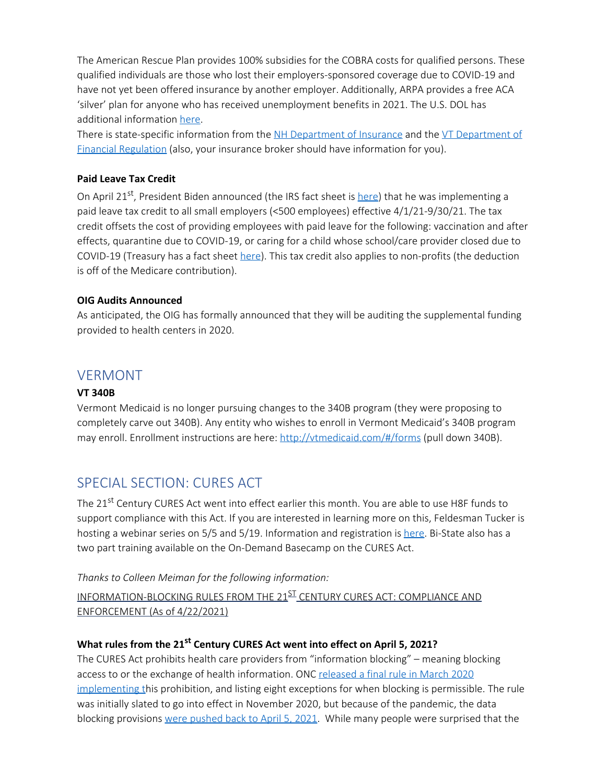The American Rescue Plan provides 100% subsidies for the COBRA costs for qualified persons. These qualified individuals are those who lost their employers-sponsored coverage due to COVID-19 and have not yet been offered insurance by another employer. Additionally, ARPA provides a free ACA 'silver' plan for anyone who has received unemployment benefits in 2021. The U.S. DOL has additional information [here](https://blog.dol.gov/2021/04/07/3-ways-the-american-rescue-plan-helps-people-who-lost-jobs-afford-health-coverage?_ga=2.135798321.1256069009.1619532088-86389581.1616434169).

There is state-specific information from the [NH Department of Insurance](https://www.nh.gov/insurance/media/pr/2021/documents/press-release-american-rescue-plan-deductible-reset-03-24-21.pdf) and the [VT Department of](https://dfr.vermont.gov/consumers/explore-insurance/health#cobra) [Financial Regulation](https://dfr.vermont.gov/consumers/explore-insurance/health#cobra) (also, your insurance broker should have information for you).

### <span id="page-2-0"></span>**Paid Leave Tax Credit**

On April 21<sup>st</sup>, President Biden announced (the IRS fact sheet is [here](https://www.irs.gov/newsroom/employer-tax-credits-for-employee-paid-leave-due-to-covid-19)) that he was implementing a paid leave tax credit to all small employers (<500 employees) effective 4/1/21-9/30/21. The tax credit offsets the cost of providing employees with paid leave for the following: vaccination and after effects, quarantine due to COVID-19, or caring for a child whose school/care provider closed due to COVID-19 (Treasury has a fact sheet [here](https://home.treasury.gov/system/files/136/Paid-Leave-Credit-Snapshot.pdf)). This tax credit also applies to non-profits (the deduction is off of the Medicare contribution).

### <span id="page-2-1"></span>**OIG Audits Announced**

As anticipated, the OIG has formally announced that they will be auditing the supplemental funding provided to health centers in 2020.

# <span id="page-2-2"></span>VERMONT

### <span id="page-2-3"></span>**VT 340B**

Vermont Medicaid is no longer pursuing changes to the 340B program (they were proposing to completely carve out 340B). Any entity who wishes to enroll in Vermont Medicaid's 340B program may enroll. Enrollment instructions are here:<http://vtmedicaid.com/#/forms> (pull down 340B).

# <span id="page-2-4"></span>SPECIAL SECTION: CURES ACT

The 21<sup>st</sup> Century CURES Act went into effect earlier this month. You are able to use H8F funds to support compliance with this Act. If you are interested in learning more on this, Feldesman Tucker is hosting a webinar series on 5/5 and 5/19. Information and registration is [here](https://learning.ftlf.com/privacy-and-confidentiality/content/onc%E2%80%99s-cures-act-info-blocking-rule-series-compliance-and-implementation-challenges). Bi-State also has a two part training available on the On-Demand Basecamp on the CURES Act.

*Thanks to Colleen Meiman for the following information:*

INFORMATION-BLOCKING RULES FROM THE 21<sup>ST</sup> CENTURY CURES ACT: COMPLIANCE AND ENFORCEMENT (As of 4/22/2021)

### **What rules from the 21st Century CURES Act went into effect on April 5, 2021?**

The CURES Act prohibits health care providers from "information blocking" – meaning blocking access to or the exchange of health information. ONC [released a final rule in March 2020](https://insidehealthpolicy.com/node/113517) [implementing t](https://insidehealthpolicy.com/node/113517)his prohibition, and listing eight exceptions for when blocking is permissible. The rule was initially slated to go into effect in November 2020, but because of the pandemic, the data blocking provisions [were pushed back to April 5, 2021.](https://insidehealthpolicy.com/node/118030) While many people were surprised that the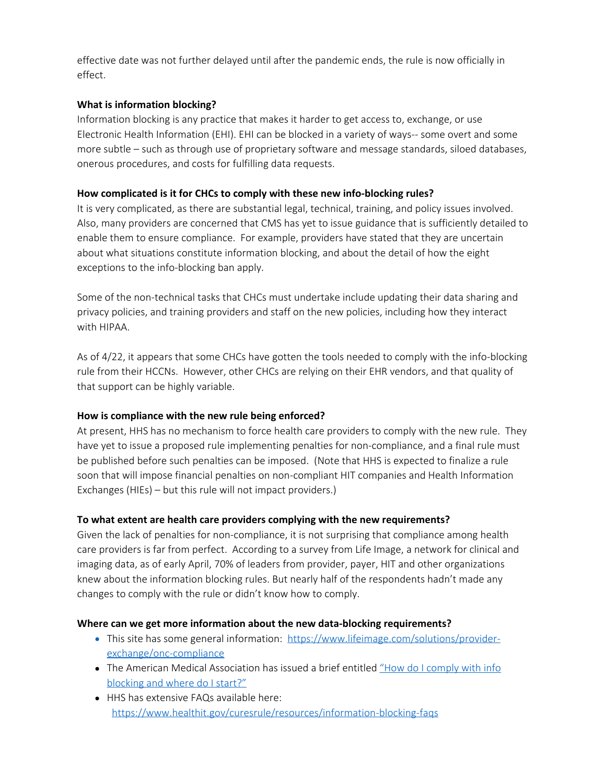effective date was not further delayed until after the pandemic ends, the rule is now officially in effect.

### **What is information blocking?**

Information blocking is any practice that makes it harder to get access to, exchange, or use Electronic Health Information (EHI). EHI can be blocked in a variety of ways-- some overt and some more subtle – such as through use of proprietary software and message standards, siloed databases, onerous procedures, and costs for fulfilling data requests.

### **How complicated is it for CHCs to comply with these new info-blocking rules?**

It is very complicated, as there are substantial legal, technical, training, and policy issues involved. Also, many providers are concerned that CMS has yet to issue guidance that is sufficiently detailed to enable them to ensure compliance. For example, providers have stated that they are uncertain about what situations constitute information blocking, and about the detail of how the eight exceptions to the info-blocking ban apply.

Some of the non-technical tasks that CHCs must undertake include updating their data sharing and privacy policies, and training providers and staff on the new policies, including how they interact with HIPAA.

As of 4/22, it appears that some CHCs have gotten the tools needed to comply with the info-blocking rule from their HCCNs. However, other CHCs are relying on their EHR vendors, and that quality of that support can be highly variable.

## **How is compliance with the new rule being enforced?**

At present, HHS has no mechanism to force health care providers to comply with the new rule. They have yet to issue a proposed rule implementing penalties for non-compliance, and a final rule must be published before such penalties can be imposed. (Note that HHS is expected to finalize a rule soon that will impose financial penalties on non-compliant HIT companies and Health Information Exchanges (HIEs) – but this rule will not impact providers.)

## **To what extent are health care providers complying with the new requirements?**

Given the lack of penalties for non-compliance, it is not surprising that compliance among health care providers is far from perfect. According to a survey from Life Image, a network for clinical and imaging data, as of early April, 70% of leaders from provider, payer, HIT and other organizations knew about the information blocking rules. But nearly half of the respondents hadn't made any changes to comply with the rule or didn't know how to comply.

### **Where can we get more information about the new data-blocking requirements?**

- This site has some general information: [https://www.lifeimage.com/solutions/provider](https://www.lifeimage.com/solutions/provider-exchange/onc-compliance)[exchange/onc-compliance](https://www.lifeimage.com/solutions/provider-exchange/onc-compliance)
- The American Medical Association has issued a brief entitled ["How do I comply with info](https://www.ama-assn.org/system/files/2020-11/info-blocking-compliance.pdf) [blocking and where do I start?"](https://www.ama-assn.org/system/files/2020-11/info-blocking-compliance.pdf)
- HHS has extensive FAQs available here: <https://www.healthit.gov/curesrule/resources/information-blocking-faqs>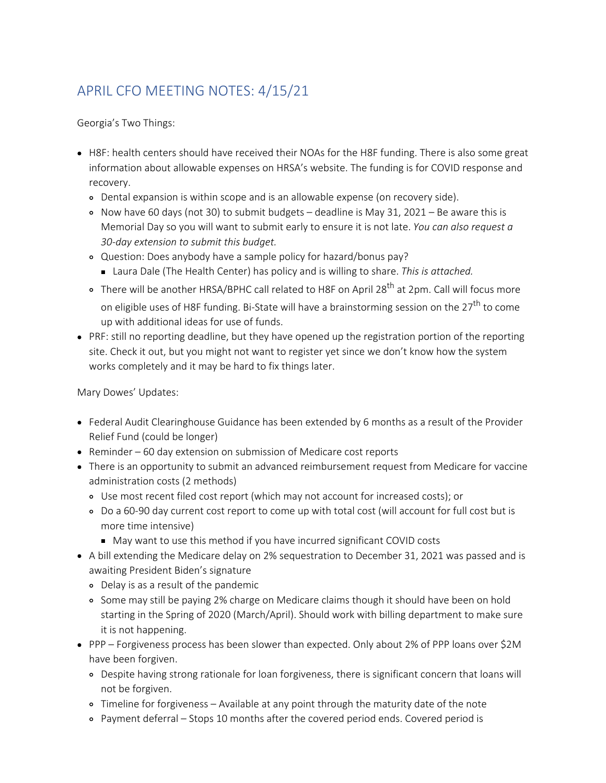# <span id="page-4-0"></span>APRIL CFO MEETING NOTES: 4/15/21

Georgia's Two Things:

- H8F: health centers should have received their NOAs for the H8F funding. There is also some great information about allowable expenses on HRSA's website. The funding is for COVID response and recovery.
	- Dental expansion is within scope and is an allowable expense (on recovery side).
	- Now have 60 days (not 30) to submit budgets deadline is May 31, 2021 Be aware this is Memorial Day so you will want to submit early to ensure it is not late. *You can also request a 30-day extension to submit this budget.*
	- Question: Does anybody have a sample policy for hazard/bonus pay?
		- Laura Dale (The Health Center) has policy and is willing to share. *This is attached.*
	- o There will be another HRSA/BPHC call related to H8F on April 28<sup>th</sup> at 2pm. Call will focus more on eligible uses of H8F funding. Bi-State will have a brainstorming session on the  $27<sup>th</sup>$  to come up with additional ideas for use of funds.
- PRF: still no reporting deadline, but they have opened up the registration portion of the reporting site. Check it out, but you might not want to register yet since we don't know how the system works completely and it may be hard to fix things later.

Mary Dowes' Updates:

- Federal Audit Clearinghouse Guidance has been extended by 6 months as a result of the Provider Relief Fund (could be longer)
- Reminder 60 day extension on submission of Medicare cost reports
- There is an opportunity to submit an advanced reimbursement request from Medicare for vaccine administration costs (2 methods)
	- Use most recent filed cost report (which may not account for increased costs); or
	- Do a 60-90 day current cost report to come up with total cost (will account for full cost but is more time intensive)
		- May want to use this method if you have incurred significant COVID costs
- A bill extending the Medicare delay on 2% sequestration to December 31, 2021 was passed and is awaiting President Biden's signature
	- Delay is as a result of the pandemic
	- Some may still be paying 2% charge on Medicare claims though it should have been on hold starting in the Spring of 2020 (March/April). Should work with billing department to make sure it is not happening.
- PPP Forgiveness process has been slower than expected. Only about 2% of PPP loans over \$2M have been forgiven.
	- Despite having strong rationale for loan forgiveness, there is significant concern that loans will not be forgiven.
	- Timeline for forgiveness Available at any point through the maturity date of the note
	- Payment deferral Stops 10 months after the covered period ends. Covered period is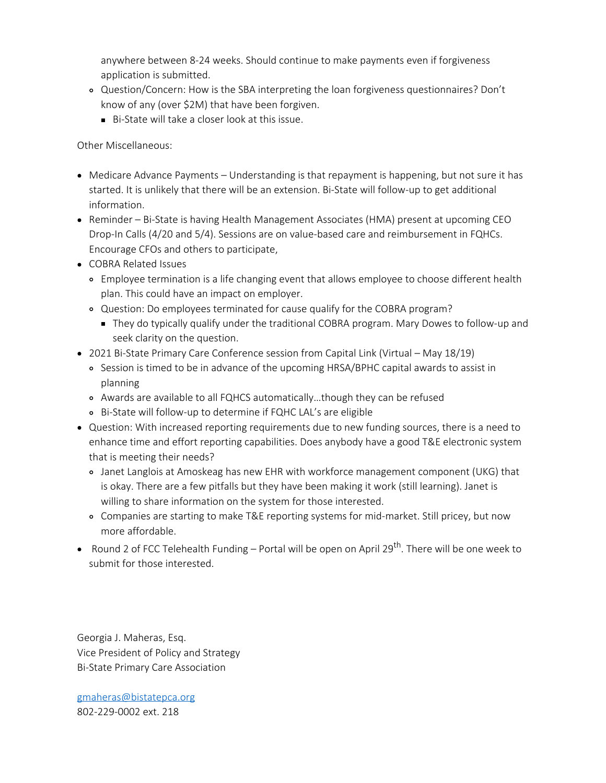anywhere between 8-24 weeks. Should continue to make payments even if forgiveness application is submitted.

- Question/Concern: How is the SBA interpreting the loan forgiveness questionnaires? Don't know of any (over \$2M) that have been forgiven.
	- Bi-State will take a closer look at this issue.

Other Miscellaneous:

- Medicare Advance Payments Understanding is that repayment is happening, but not sure it has started. It is unlikely that there will be an extension. Bi-State will follow-up to get additional information.
- Reminder Bi-State is having Health Management Associates (HMA) present at upcoming CEO Drop-In Calls (4/20 and 5/4). Sessions are on value-based care and reimbursement in FQHCs. Encourage CFOs and others to participate,
- COBRA Related Issues
	- Employee termination is a life changing event that allows employee to choose different health plan. This could have an impact on employer.
	- Question: Do employees terminated for cause qualify for the COBRA program?
		- They do typically qualify under the traditional COBRA program. Mary Dowes to follow-up and seek clarity on the question.
- 2021 Bi-State Primary Care Conference session from Capital Link (Virtual May 18/19)
	- Session is timed to be in advance of the upcoming HRSA/BPHC capital awards to assist in planning
	- Awards are available to all FQHCS automatically…though they can be refused
	- Bi-State will follow-up to determine if FQHC LAL's are eligible
- Question: With increased reporting requirements due to new funding sources, there is a need to enhance time and effort reporting capabilities. Does anybody have a good T&E electronic system that is meeting their needs?
	- Janet Langlois at Amoskeag has new EHR with workforce management component (UKG) that is okay. There are a few pitfalls but they have been making it work (still learning). Janet is willing to share information on the system for those interested.
	- Companies are starting to make T&E reporting systems for mid-market. Still pricey, but now more affordable.
- Round 2 of FCC Telehealth Funding Portal will be open on April 29<sup>th</sup>. There will be one week to submit for those interested.

Georgia J. Maheras, Esq. Vice President of Policy and Strategy Bi-State Primary Care Association

[gmaheras@bistatepca.org](mailto:gmaheras@bistatepca.org) 802-229-0002 ext. 218